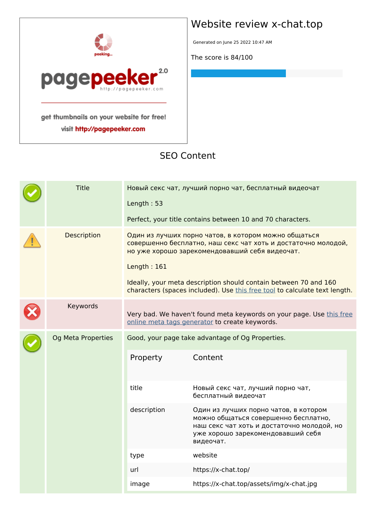

visit http://pagepeeker.com

## **Website review x-chat.top**

Generated on June 25 2022 10:47 AM

**The score is 84/100**

#### **SEO Content**

|  | <b>Title</b>       | Length: 53    | Новый секс чат, лучший порно чат, бесплатный видеочат<br>Perfect, your title contains between 10 and 70 characters.                                                                                                                                                                                                       |
|--|--------------------|---------------|---------------------------------------------------------------------------------------------------------------------------------------------------------------------------------------------------------------------------------------------------------------------------------------------------------------------------|
|  | Description        | Length: $161$ | Один из лучших порно чатов, в котором можно общаться<br>совершенно бесплатно, наш секс чат хоть и достаточно молодой,<br>но уже хорошо зарекомендовавший себя видеочат.<br>Ideally, your meta description should contain between 70 and 160<br>characters (spaces included). Use this free tool to calculate text length. |
|  | Keywords           |               | Very bad. We haven't found meta keywords on your page. Use this free<br>online meta tags generator to create keywords.                                                                                                                                                                                                    |
|  | Og Meta Properties | Property      | Good, your page take advantage of Og Properties.<br>Content                                                                                                                                                                                                                                                               |
|  |                    | title         | Новый секс чат, лучший порно чат,<br>бесплатный видеочат                                                                                                                                                                                                                                                                  |
|  |                    | description   | Один из лучших порно чатов, в котором<br>можно общаться совершенно бесплатно,<br>наш секс чат хоть и достаточно молодой, но<br>уже хорошо зарекомендовавший себя<br>видеочат.                                                                                                                                             |
|  |                    | type          | website                                                                                                                                                                                                                                                                                                                   |
|  |                    | url           | https://x-chat.top/                                                                                                                                                                                                                                                                                                       |
|  |                    | image         | https://x-chat.top/assets/img/x-chat.jpg                                                                                                                                                                                                                                                                                  |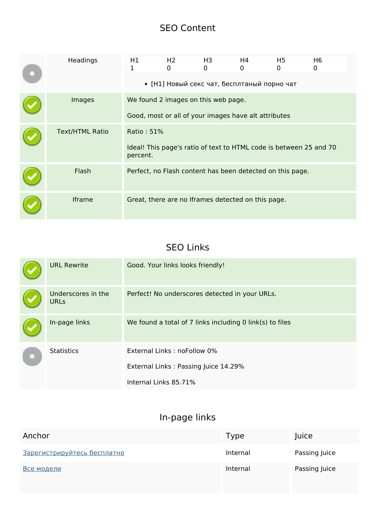#### **SEO Content**

| Headings               | H1<br>1                | H <sub>2</sub><br>0 | H3<br>$\Omega$                      | H4<br>0<br>• [Н1] Новый секс чат, бесплтаный порно чат | H5<br>0                                                   | H <sub>6</sub><br>0                                                |  |
|------------------------|------------------------|---------------------|-------------------------------------|--------------------------------------------------------|-----------------------------------------------------------|--------------------------------------------------------------------|--|
| Images                 |                        |                     | We found 2 images on this web page. | Good, most or all of your images have alt attributes   |                                                           |                                                                    |  |
| <b>Text/HTML Ratio</b> | Ratio: 51%<br>percent. |                     |                                     |                                                        |                                                           | Ideal! This page's ratio of text to HTML code is between 25 and 70 |  |
| Flash                  |                        |                     |                                     |                                                        | Perfect, no Flash content has been detected on this page. |                                                                    |  |
| Iframe                 |                        |                     |                                     | Great, there are no Iframes detected on this page.     |                                                           |                                                                    |  |

#### **SEO Links**

|  | <b>URL Rewrite</b>                | Good. Your links looks friendly!                         |
|--|-----------------------------------|----------------------------------------------------------|
|  | Underscores in the<br><b>URLs</b> | Perfect! No underscores detected in your URLs.           |
|  | In-page links                     | We found a total of 7 links including 0 link(s) to files |
|  | <b>Statistics</b>                 | External Links: noFollow 0%                              |
|  |                                   | External Links: Passing Juice 14.29%                     |
|  |                                   | Internal Links 85.71%                                    |

## **In-page links**

| Anchor                      | Type     | Juice         |
|-----------------------------|----------|---------------|
| Зарегистрируйтесь бесплатно | Internal | Passing Juice |
| Все модели                  | Internal | Passing Juice |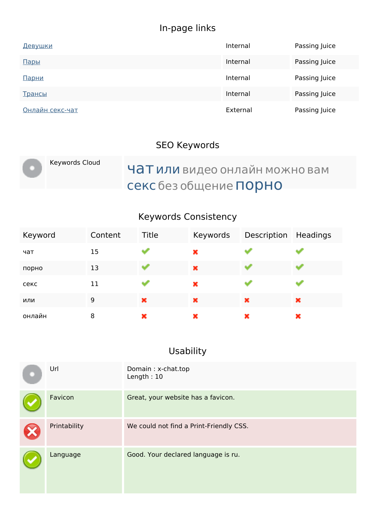# **In-page links**

| <u>Девушки</u>  | Internal | Passing Juice |
|-----------------|----------|---------------|
| Пары            | Internal | Passing Juice |
| Парни           | Internal | Passing Juice |
| Трансы          | Internal | Passing Juice |
| Онлайн секс-чат | External | Passing Juice |

## **SEO Keywords**

| Keywords Cloud | ЧАТ или видео онлайн можно вам |
|----------------|--------------------------------|
|                | секс без общение ПОРНО         |

## **Keywords Consistency**

| Keyword | Content | Title | Keywords | Description | Headings |
|---------|---------|-------|----------|-------------|----------|
| чат     | 15      |       | ×        |             |          |
| порно   | 13      |       | ×        |             |          |
| секс    | 11      |       | ×        |             |          |
| или     | 9       | ×     | ×        | ×           | ×        |
| онлайн  | 8       | ×     | ×        | ×           | ×        |

# **Usability**

| Url          | Domain: x-chat.top<br>Length: $10$      |
|--------------|-----------------------------------------|
| Favicon      | Great, your website has a favicon.      |
| Printability | We could not find a Print-Friendly CSS. |
| Language     | Good. Your declared language is ru.     |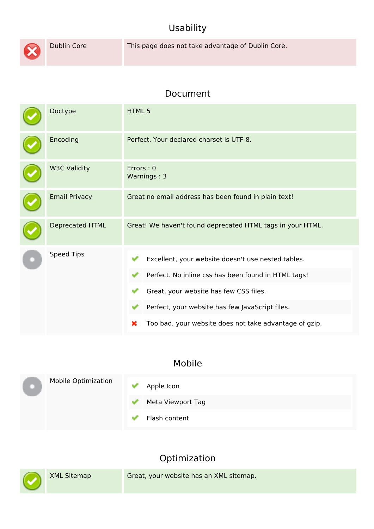#### **Usability**



Dublin Core This page does not take advantage of Dublin Core.

#### **Document**

| Doctype              | HTML 5                                                                                                                                                                                                                                                                |  |  |
|----------------------|-----------------------------------------------------------------------------------------------------------------------------------------------------------------------------------------------------------------------------------------------------------------------|--|--|
| Encoding             | Perfect. Your declared charset is UTF-8.                                                                                                                                                                                                                              |  |  |
| <b>W3C Validity</b>  | Errors: 0<br>Warnings: 3                                                                                                                                                                                                                                              |  |  |
| <b>Email Privacy</b> | Great no email address has been found in plain text!                                                                                                                                                                                                                  |  |  |
| Deprecated HTML      | Great! We haven't found deprecated HTML tags in your HTML.                                                                                                                                                                                                            |  |  |
| <b>Speed Tips</b>    | Excellent, your website doesn't use nested tables.<br>Perfect. No inline css has been found in HTML tags!<br>Great, your website has few CSS files.<br>Perfect, your website has few JavaScript files.<br>Too bad, your website does not take advantage of gzip.<br>× |  |  |

#### **Mobile**

|  | <b>Mobile Optimization</b><br>$\checkmark$ | Apple Icon        |
|--|--------------------------------------------|-------------------|
|  |                                            | Meta Viewport Tag |
|  |                                            | Flash content     |

## **Optimization**

| $\bigodot$ | XML Sitemap | Great, your website has an XML sitemap. |
|------------|-------------|-----------------------------------------|